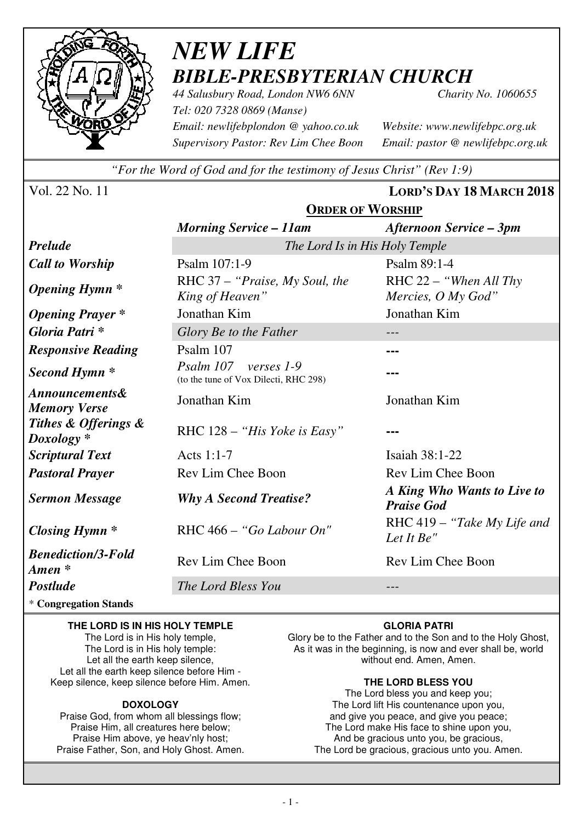

## *NEW LIFE BIBLE-PRESBYTERIAN CHURCH*

*44 Salusbury Road, London NW6 6NN Charity No. 1060655 Tel: 020 7328 0869 (Manse) Email: newlifebplondon @ yahoo.co.uk Website: www.newlifebpc.org.uk Supervisory Pastor: Rev Lim Chee Boon Email: pastor @ newlifebpc.org.uk* 

*"For the Word of God and for the testimony of Jesus Christ" (Rev 1:9)*

Vol. 22 No. 11 **LORD'S DAY 18 MARCH 2018**

**ORDER OF WORSHIP**

|                                                  | <b>URDER OF WORSHIP</b>                                       |                                                  |  |
|--------------------------------------------------|---------------------------------------------------------------|--------------------------------------------------|--|
|                                                  | <b>Morning Service – 11am</b>                                 | <b>Afternoon Service - 3pm</b>                   |  |
| <b>Prelude</b>                                   | The Lord Is in His Holy Temple                                |                                                  |  |
| <b>Call to Worship</b>                           | Psalm 107:1-9                                                 | Psalm 89:1-4                                     |  |
| <b>Opening Hymn</b> *                            | RHC 37 – "Praise, My Soul, the<br>King of Heaven"             | RHC $22 -$ "When All Thy"<br>Mercies, O My God"  |  |
| <b>Opening Prayer</b> *                          | Jonathan Kim                                                  | Jonathan Kim                                     |  |
| Gloria Patri*                                    | Glory Be to the Father                                        |                                                  |  |
| <b>Responsive Reading</b>                        | Psalm 107                                                     |                                                  |  |
| Second Hymn <sup>*</sup>                         | Psalm 107 verses 1-9<br>(to the tune of Vox Dilecti, RHC 298) |                                                  |  |
| <i>Announcements&amp;</i><br><b>Memory Verse</b> | Jonathan Kim                                                  | Jonathan Kim                                     |  |
| Tithes & Offerings &<br>$Doxology *$             | RHC $128 - "His Yoke is Easy"$                                |                                                  |  |
| <b>Scriptural Text</b>                           | Acts 1:1-7                                                    | Isaiah 38:1-22                                   |  |
| <b>Pastoral Prayer</b>                           | Rev Lim Chee Boon                                             | Rev Lim Chee Boon                                |  |
| <b>Sermon Message</b>                            | <b>Why A Second Treatise?</b>                                 | A King Who Wants to Live to<br><b>Praise God</b> |  |
| <b>Closing Hymn</b> *                            | RHC 466 - "Go Labour On"                                      | RHC 419 – "Take My Life and<br>Let It Be"        |  |
| <b>Benediction/3-Fold</b><br>Amen *              | Rev Lim Chee Boon                                             | Rev Lim Chee Boon                                |  |
| <b>Postlude</b>                                  | The Lord Bless You                                            |                                                  |  |
|                                                  |                                                               |                                                  |  |

\* **Congregation Stands** 

#### **THE LORD IS IN HIS HOLY TEMPLE**

The Lord is in His holy temple, The Lord is in His holy temple: Let all the earth keep silence. Let all the earth keep silence before Him - Keep silence, keep silence before Him. Amen.

#### **DOXOLOGY**

Praise God, from whom all blessings flow; Praise Him, all creatures here below; Praise Him above, ye heav'nly host; Praise Father, Son, and Holy Ghost. Amen.

#### **GLORIA PATRI**

Glory be to the Father and to the Son and to the Holy Ghost, As it was in the beginning, is now and ever shall be, world without end. Amen, Amen.

#### **THE LORD BLESS YOU**

The Lord bless you and keep you; The Lord lift His countenance upon you, and give you peace, and give you peace; The Lord make His face to shine upon you, And be gracious unto you, be gracious, The Lord be gracious, gracious unto you. Amen.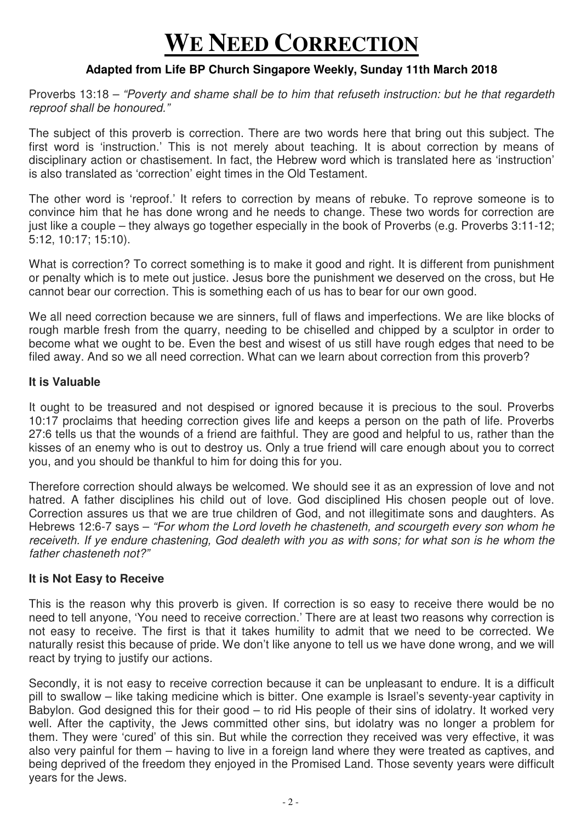# **WE NEED CORRECTION**

## **Adapted from Life BP Church Singapore Weekly, Sunday 11th March 2018**

Proverbs 13:18 – "Poverty and shame shall be to him that refuseth instruction: but he that regardeth reproof shall be honoured."

The subject of this proverb is correction. There are two words here that bring out this subject. The first word is 'instruction.' This is not merely about teaching. It is about correction by means of disciplinary action or chastisement. In fact, the Hebrew word which is translated here as 'instruction' is also translated as 'correction' eight times in the Old Testament.

The other word is 'reproof.' It refers to correction by means of rebuke. To reprove someone is to convince him that he has done wrong and he needs to change. These two words for correction are just like a couple – they always go together especially in the book of Proverbs (e.g. Proverbs 3:11-12; 5:12, 10:17; 15:10).

What is correction? To correct something is to make it good and right. It is different from punishment or penalty which is to mete out justice. Jesus bore the punishment we deserved on the cross, but He cannot bear our correction. This is something each of us has to bear for our own good.

We all need correction because we are sinners, full of flaws and imperfections. We are like blocks of rough marble fresh from the quarry, needing to be chiselled and chipped by a sculptor in order to become what we ought to be. Even the best and wisest of us still have rough edges that need to be filed away. And so we all need correction. What can we learn about correction from this proverb?

#### **It is Valuable**

It ought to be treasured and not despised or ignored because it is precious to the soul. Proverbs 10:17 proclaims that heeding correction gives life and keeps a person on the path of life. Proverbs 27:6 tells us that the wounds of a friend are faithful. They are good and helpful to us, rather than the kisses of an enemy who is out to destroy us. Only a true friend will care enough about you to correct you, and you should be thankful to him for doing this for you.

Therefore correction should always be welcomed. We should see it as an expression of love and not hatred. A father disciplines his child out of love. God disciplined His chosen people out of love. Correction assures us that we are true children of God, and not illegitimate sons and daughters. As Hebrews 12:6-7 says – "For whom the Lord loveth he chasteneth, and scourgeth every son whom he receiveth. If ye endure chastening, God dealeth with you as with sons; for what son is he whom the father chasteneth not?"

### **It is Not Easy to Receive**

This is the reason why this proverb is given. If correction is so easy to receive there would be no need to tell anyone, 'You need to receive correction.' There are at least two reasons why correction is not easy to receive. The first is that it takes humility to admit that we need to be corrected. We naturally resist this because of pride. We don't like anyone to tell us we have done wrong, and we will react by trying to justify our actions.

Secondly, it is not easy to receive correction because it can be unpleasant to endure. It is a difficult pill to swallow – like taking medicine which is bitter. One example is Israel's seventy-year captivity in Babylon. God designed this for their good – to rid His people of their sins of idolatry. It worked very well. After the captivity, the Jews committed other sins, but idolatry was no longer a problem for them. They were 'cured' of this sin. But while the correction they received was very effective, it was also very painful for them – having to live in a foreign land where they were treated as captives, and being deprived of the freedom they enjoyed in the Promised Land. Those seventy years were difficult years for the Jews.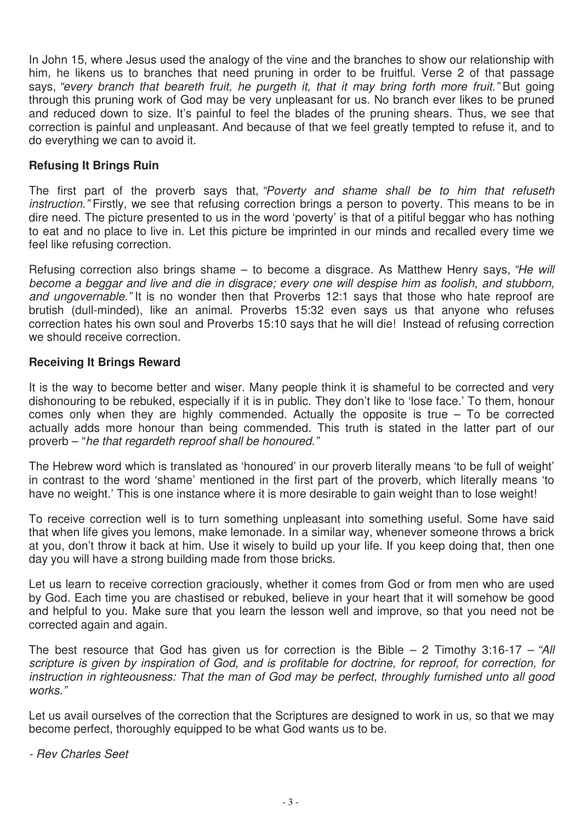In John 15, where Jesus used the analogy of the vine and the branches to show our relationship with him, he likens us to branches that need pruning in order to be fruitful. Verse 2 of that passage says, "every branch that beareth fruit, he purgeth it, that it may bring forth more fruit." But going through this pruning work of God may be very unpleasant for us. No branch ever likes to be pruned and reduced down to size. It's painful to feel the blades of the pruning shears. Thus, we see that correction is painful and unpleasant. And because of that we feel greatly tempted to refuse it, and to do everything we can to avoid it.

## **Refusing It Brings Ruin**

The first part of the proverb says that, "Poverty and shame shall be to him that refuseth instruction." Firstly, we see that refusing correction brings a person to poverty. This means to be in dire need. The picture presented to us in the word 'poverty' is that of a pitiful beggar who has nothing to eat and no place to live in. Let this picture be imprinted in our minds and recalled every time we feel like refusing correction.

Refusing correction also brings shame  $-$  to become a disgrace. As Matthew Henry says, "He will become a beggar and live and die in disgrace; every one will despise him as foolish, and stubborn, and ungovernable. "It is no wonder then that Proverbs 12:1 says that those who hate reproof are brutish (dull-minded), like an animal. Proverbs 15:32 even says us that anyone who refuses correction hates his own soul and Proverbs 15:10 says that he will die! Instead of refusing correction we should receive correction.

### **Receiving It Brings Reward**

It is the way to become better and wiser. Many people think it is shameful to be corrected and very dishonouring to be rebuked, especially if it is in public. They don't like to 'lose face.' To them, honour comes only when they are highly commended. Actually the opposite is true – To be corrected actually adds more honour than being commended. This truth is stated in the latter part of our proverb – "he that regardeth reproof shall be honoured."

The Hebrew word which is translated as 'honoured' in our proverb literally means 'to be full of weight' in contrast to the word 'shame' mentioned in the first part of the proverb, which literally means 'to have no weight.' This is one instance where it is more desirable to gain weight than to lose weight!

To receive correction well is to turn something unpleasant into something useful. Some have said that when life gives you lemons, make lemonade. In a similar way, whenever someone throws a brick at you, don't throw it back at him. Use it wisely to build up your life. If you keep doing that, then one day you will have a strong building made from those bricks.

Let us learn to receive correction graciously, whether it comes from God or from men who are used by God. Each time you are chastised or rebuked, believe in your heart that it will somehow be good and helpful to you. Make sure that you learn the lesson well and improve, so that you need not be corrected again and again.

The best resource that God has given us for correction is the Bible  $-$  2 Timothy 3:16-17  $-$  "All scripture is given by inspiration of God, and is profitable for doctrine, for reproof, for correction, for instruction in righteousness: That the man of God may be perfect, throughly furnished unto all good works."

Let us avail ourselves of the correction that the Scriptures are designed to work in us, so that we may become perfect, thoroughly equipped to be what God wants us to be.

- Rev Charles Seet